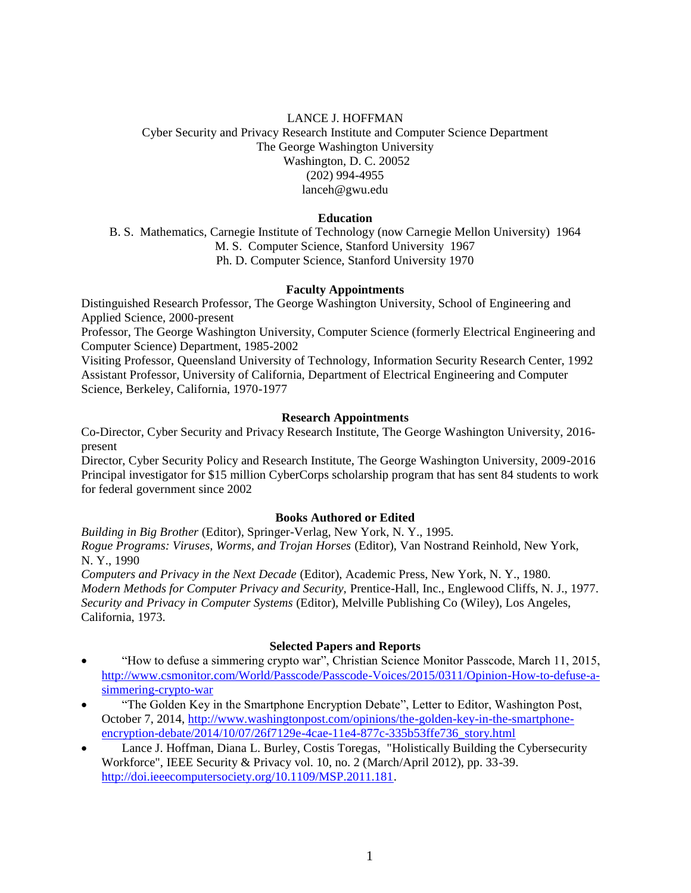# LANCE J. HOFFMAN Cyber Security and Privacy Research Institute and Computer Science Department The George Washington University Washington, D. C. 20052 (202) 994-4955 lanceh@gwu.edu

## **Education**

B. S. Mathematics, Carnegie Institute of Technology (now Carnegie Mellon University) 1964 M. S. Computer Science, Stanford University 1967 Ph. D. Computer Science, Stanford University 1970

# **Faculty Appointments**

Distinguished Research Professor, The George Washington University, School of Engineering and Applied Science, 2000-present

Professor, The George Washington University, Computer Science (formerly Electrical Engineering and Computer Science) Department, 1985-2002

Visiting Professor, Queensland University of Technology, Information Security Research Center, 1992 Assistant Professor, University of California, Department of Electrical Engineering and Computer Science, Berkeley, California, 1970-1977

# **Research Appointments**

Co-Director, Cyber Security and Privacy Research Institute, The George Washington University, 2016 present

Director, Cyber Security Policy and Research Institute, The George Washington University, 2009-2016 Principal investigator for \$15 million CyberCorps scholarship program that has sent 84 students to work for federal government since 2002

## **Books Authored or Edited**

*Building in Big Brother* (Editor), Springer-Verlag, New York, N. Y., 1995. *Rogue Programs: Viruses, Worms, and Trojan Horses* (Editor), Van Nostrand Reinhold, New York, N. Y., 1990

*Computers and Privacy in the Next Decade* (Editor), Academic Press, New York, N. Y., 1980. *Modern Methods for Computer Privacy and Security,* Prentice-Hall, Inc., Englewood Cliffs, N. J., 1977. *Security and Privacy in Computer Systems* (Editor), Melville Publishing Co (Wiley), Los Angeles, California, 1973.

## **Selected Papers and Reports**

- "How to defuse a simmering crypto war", Christian Science Monitor Passcode, March 11, 2015, [http://www.csmonitor.com/World/Passcode/Passcode-Voices/2015/0311/Opinion-How-to-defuse-a](http://www.csmonitor.com/World/Passcode/Passcode-Voices/2015/0311/Opinion-How-to-defuse-a-simmering-crypto-war)[simmering-crypto-war](http://www.csmonitor.com/World/Passcode/Passcode-Voices/2015/0311/Opinion-How-to-defuse-a-simmering-crypto-war)
- "The Golden Key in the Smartphone Encryption Debate", Letter to Editor, Washington Post, October 7, 2014, [http://www.washingtonpost.com/opinions/the-golden-key-in-the-smartphone](http://www.washingtonpost.com/opinions/the-golden-key-in-the-smartphone-encryption-debate/2014/10/07/26f7129e-4cae-11e4-877c-335b53ffe736_story.html)[encryption-debate/2014/10/07/26f7129e-4cae-11e4-877c-335b53ffe736\\_story.html](http://www.washingtonpost.com/opinions/the-golden-key-in-the-smartphone-encryption-debate/2014/10/07/26f7129e-4cae-11e4-877c-335b53ffe736_story.html)
- Lance J. Hoffman, Diana L. Burley, Costis Toregas, "Holistically Building the Cybersecurity Workforce", IEEE Security & Privacy vol. 10, no. 2 (March/April 2012), pp. 33-39. [http://doi.ieeecomputersociety.org/10.1109/MSP.2011.181.](http://doi.ieeecomputersociety.org/10.1109/MSP.2011.181)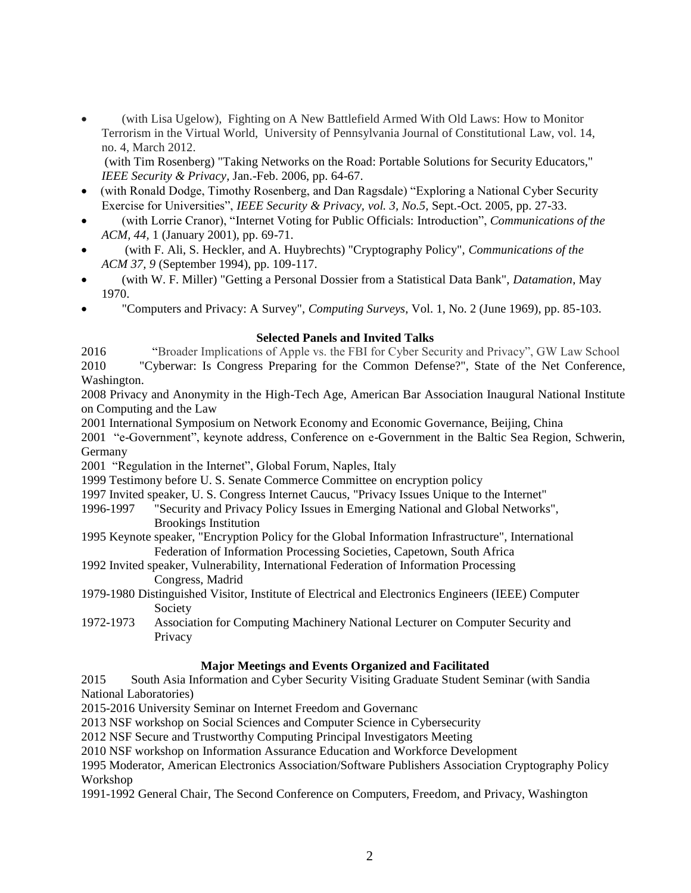(with Lisa Ugelow), Fighting on A New Battlefield Armed With Old Laws: How to Monitor Terrorism in the Virtual World, University of Pennsylvania Journal of Constitutional Law, vol. 14, no. 4, March 2012.

(with Tim Rosenberg) "Taking Networks on the Road: Portable Solutions for Security Educators," *IEEE Security & Privacy*, Jan.-Feb. 2006, pp. 64-67.

- (with Ronald Dodge, Timothy Rosenberg, and Dan Ragsdale) "Exploring a National Cyber Security Exercise for Universities", *IEEE Security & Privacy, vol. 3, No.5,* Sept.-Oct. 2005, pp. 27-33.
- (with Lorrie Cranor), "Internet Voting for Public Officials: Introduction", *Communications of the ACM, 44,* 1 (January 2001), pp. 69-71.
- (with F. Ali, S. Heckler, and A. Huybrechts) "Cryptography Policy", *Communications of the ACM 37, 9* (September 1994), pp. 109-117.
- (with W. F. Miller) "Getting a Personal Dossier from a Statistical Data Bank", *Datamation*, May 1970.
- "Computers and Privacy: A Survey", *Computing Surveys*, Vol. 1, No. 2 (June 1969), pp. 85-103.

# **Selected Panels and Invited Talks**

2016 "Broader Implications of Apple vs. the FBI for Cyber Security and Privacy", GW Law School 2010 "Cyberwar: Is Congress Preparing for the Common Defense?", State of the Net Conference, Washington.

2008 Privacy and Anonymity in the High-Tech Age, American Bar Association Inaugural National Institute on Computing and the Law

2001 International Symposium on Network Economy and Economic Governance, Beijing, China

2001 "e-Government", keynote address, Conference on e-Government in the Baltic Sea Region, Schwerin, Germany

2001 "Regulation in the Internet", Global Forum, Naples, Italy

1999 Testimony before U. S. Senate Commerce Committee on encryption policy

- 1997 Invited speaker, U. S. Congress Internet Caucus, "Privacy Issues Unique to the Internet"
- 1996-1997 "Security and Privacy Policy Issues in Emerging National and Global Networks", Brookings Institution
- 1995 Keynote speaker, "Encryption Policy for the Global Information Infrastructure", International Federation of Information Processing Societies, Capetown, South Africa
- 1992 Invited speaker, Vulnerability, International Federation of Information Processing Congress, Madrid
- 1979-1980 Distinguished Visitor, Institute of Electrical and Electronics Engineers (IEEE) Computer Society
- 1972-1973 Association for Computing Machinery National Lecturer on Computer Security and **Privacy**

# **Major Meetings and Events Organized and Facilitated**

2015 South Asia Information and Cyber Security Visiting Graduate Student Seminar (with Sandia National Laboratories)

2015-2016 University Seminar on Internet Freedom and Governanc

2013 NSF workshop on Social Sciences and Computer Science in Cybersecurity

2012 NSF Secure and Trustworthy Computing Principal Investigators Meeting

2010 NSF workshop on Information Assurance Education and Workforce Development

1995 Moderator, American Electronics Association/Software Publishers Association Cryptography Policy Workshop

1991-1992 General Chair, The Second Conference on Computers, Freedom, and Privacy, Washington